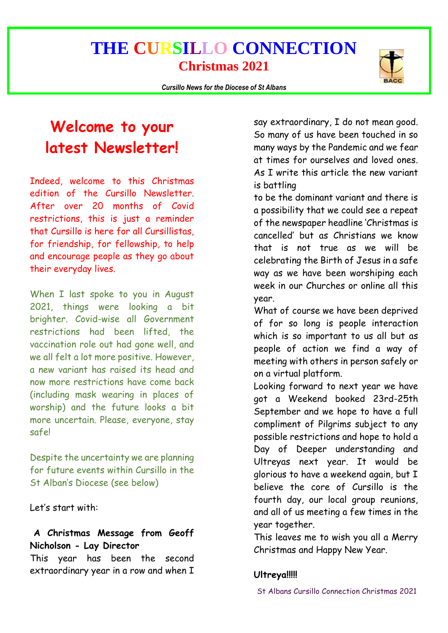*Cursillo News for the Diocese of St Albans*



# **Welcome to your latest Newsletter!**

Indeed, welcome to this Christmas edition of the Cursillo Newsletter. After over 20 months of Covid restrictions, this is just a reminder that Cursillo is here for all Cursillistas, for friendship, for fellowship, to help and encourage people as they go about their everyday lives.

When I last spoke to you in August 2021, things were looking a bit brighter. Covid-wise all Government restrictions had been lifted, the vaccination role out had gone well, and we all felt a lot more positive. However, a new variant has raised its head and now more restrictions have come back (including mask wearing in places of worship) and the future looks a bit more uncertain. Please, everyone, stay safe!

Despite the uncertainty we are planning for future events within Cursillo in the St Alban's Diocese (see below)

Let's start with:

### **A Christmas Message from Geoff Nicholson - Lay Director**

This year has been the second extraordinary year in a row and when I

say extraordinary, I do not mean good. So many of us have been touched in so many ways by the Pandemic and we fear at times for ourselves and loved ones. As I write this article the new variant is battling

to be the dominant variant and there is a possibility that we could see a repeat of the newspaper headline 'Christmas is cancelled' but as Christians we know that is not true as we will be celebrating the Birth of Jesus in a safe way as we have been worshiping each week in our Churches or online all this year.

What of course we have been deprived of for so long is people interaction which is so important to us all but as people of action we find a way of meeting with others in person safely or on a virtual platform.

Looking forward to next year we have got a Weekend booked 23rd-25th September and we hope to have a full compliment of Pilgrims subject to any possible restrictions and hope to hold a Day of Deeper understanding and Ultreyas next year. It would be glorious to have a weekend again, but I believe the core of Cursillo is the fourth day, our local group reunions, and all of us meeting a few times in the year together.

This leaves me to wish you all a Merry Christmas and Happy New Year.

### **Ultreya!!!!!**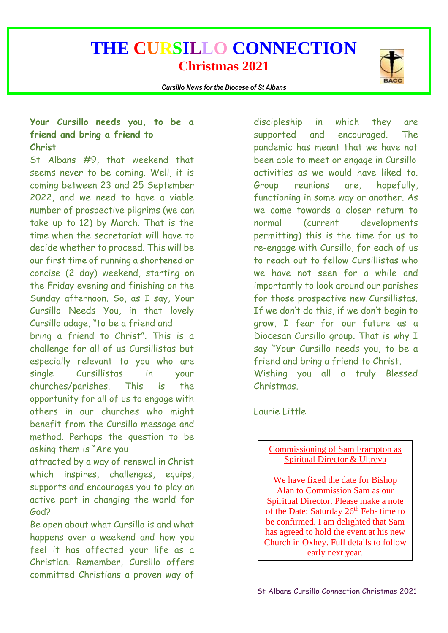*Cursillo News for the Diocese of St Albans*



### **Your Cursillo needs you, to be a friend and bring a friend to Christ**

St Albans #9, that weekend that seems never to be coming. Well, it is coming between 23 and 25 September 2022, and we need to have a viable number of prospective pilgrims (we can take up to 12) by March. That is the time when the secretariat will have to decide whether to proceed. This will be our first time of running a shortened or concise (2 day) weekend, starting on the Friday evening and finishing on the Sunday afternoon. So, as I say, Your Cursillo Needs You, in that lovely Cursillo adage, "to be a friend and bring a friend to Christ". This is a challenge for all of us Cursillistas but especially relevant to you who are single Cursillistas in your churches/parishes. This is the opportunity for all of us to engage with others in our churches who might benefit from the Cursillo message and method. Perhaps the question to be asking them is "Are you

attracted by a way of renewal in Christ which inspires, challenges, equips, supports and encourages you to play an active part in changing the world for God?

Be open about what Cursillo is and what happens over a weekend and how you feel it has affected your life as a Christian. Remember, Cursillo offers committed Christians a proven way of

discipleship in which they are supported and encouraged. The pandemic has meant that we have not been able to meet or engage in Cursillo activities as we would have liked to. Group reunions are, hopefully, functioning in some way or another. As we come towards a closer return to normal (current developments permitting) this is the time for us to re-engage with Cursillo, for each of us to reach out to fellow Cursillistas who we have not seen for a while and importantly to look around our parishes for those prospective new Cursillistas. If we don't do this, if we don't begin to grow, I fear for our future as a Diocesan Cursillo group. That is why I say "Your Cursillo needs you, to be a friend and bring a friend to Christ. Wishing you all a truly Blessed

Laurie Little

Christmas.

#### Commissioning of Sam Frampton as Spiritual Director & Ultreya

We have fixed the date for Bishop Alan to Commission Sam as our Spiritual Director. Please make a note of the Date: Saturday  $26<sup>th</sup>$  Feb- time to be confirmed. I am delighted that Sam has agreed to hold the event at his new Church in Oxhey. Full details to follow early next year.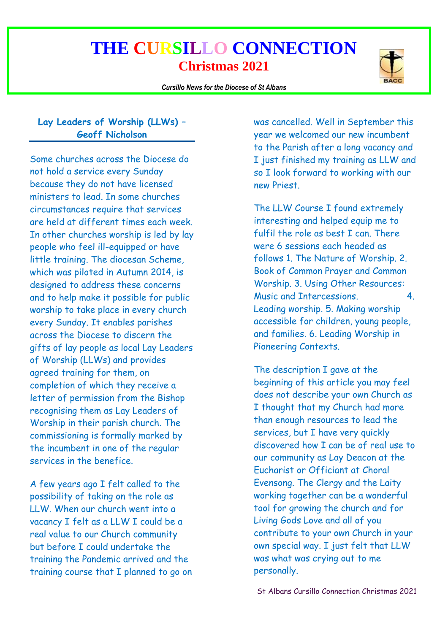*Cursillo News for the Diocese of St Albans*



### **Lay Leaders of Worship (LLWs) – Geoff Nicholson**

Some churches across the Diocese do not hold a service every Sunday because they do not have licensed ministers to lead. In some churches circumstances require that services are held at different times each week. In other churches worship is led by lay people who feel ill-equipped or have little training. The diocesan Scheme, which was piloted in Autumn 2014, is designed to address these concerns and to help make it possible for public worship to take place in every church every Sunday. It enables parishes across the Diocese to discern the gifts of lay people as local Lay Leaders of Worship (LLWs) and provides agreed training for them, on completion of which they receive a letter of permission from the Bishop recognising them as Lay Leaders of Worship in their parish church. The commissioning is formally marked by the incumbent in one of the regular services in the benefice.

A few years ago I felt called to the possibility of taking on the role as LLW. When our church went into a vacancy I felt as a LLW I could be a real value to our Church community but before I could undertake the training the Pandemic arrived and the training course that I planned to go on

was cancelled. Well in September this year we welcomed our new incumbent to the Parish after a long vacancy and I just finished my training as LLW and so I look forward to working with our new Priest.

The LLW Course I found extremely interesting and helped equip me to fulfil the role as best I can. There were 6 sessions each headed as follows 1. The Nature of Worship. 2. Book of Common Prayer and Common Worship. 3. Using Other Resources: Music and Intercessions. 4. Leading worship. 5. Making worship accessible for children, young people, and families. 6. Leading Worship in Pioneering Contexts.

The description I gave at the beginning of this article you may feel does not describe your own Church as I thought that my Church had more than enough resources to lead the services, but I have very quickly discovered how I can be of real use to our community as Lay Deacon at the Eucharist or Officiant at Choral Evensong. The Clergy and the Laity working together can be a wonderful tool for growing the church and for Living Gods Love and all of you contribute to your own Church in your own special way. I just felt that LLW was what was crying out to me personally.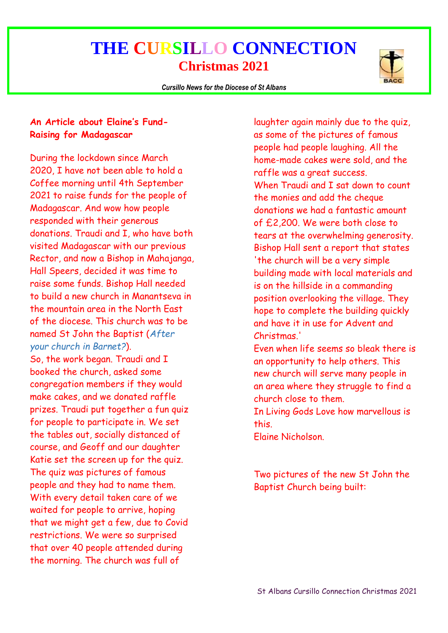*Cursillo News for the Diocese of St Albans*



### **An Article about Elaine's Fund-Raising for Madagascar**

During the lockdown since March 2020, I have not been able to hold a Coffee morning until 4th September 2021 to raise funds for the people of Madagascar. And wow how people responded with their generous donations. Traudi and I, who have both visited Madagascar with our previous Rector, and now a Bishop in Mahajanga, Hall Speers, decided it was time to raise some funds. Bishop Hall needed to build a new church in Manantseva in the mountain area in the North East of the diocese. This church was to be named St John the Baptist (*After your church in Barnet?*). So, the work began. Traudi and I booked the church, asked some

congregation members if they would make cakes, and we donated raffle prizes. Traudi put together a fun quiz for people to participate in. We set the tables out, socially distanced of course, and Geoff and our daughter Katie set the screen up for the quiz. The quiz was pictures of famous people and they had to name them. With every detail taken care of we waited for people to arrive, hoping that we might get a few, due to Covid restrictions. We were so surprised that over 40 people attended during the morning. The church was full of

laughter again mainly due to the quiz, as some of the pictures of famous people had people laughing. All the home-made cakes were sold, and the raffle was a great success. When Traudi and I sat down to count the monies and add the cheque donations we had a fantastic amount of £2,200. We were both close to tears at the overwhelming generosity. Bishop Hall sent a report that states 'the church will be a very simple building made with local materials and is on the hillside in a commanding position overlooking the village. They hope to complete the building quickly and have it in use for Advent and Christmas.'

Even when life seems so bleak there is an opportunity to help others. This new church will serve many people in an area where they struggle to find a church close to them.

In Living Gods Love how marvellous is this.

Elaine Nicholson.

Two pictures of the new St John the Baptist Church being built: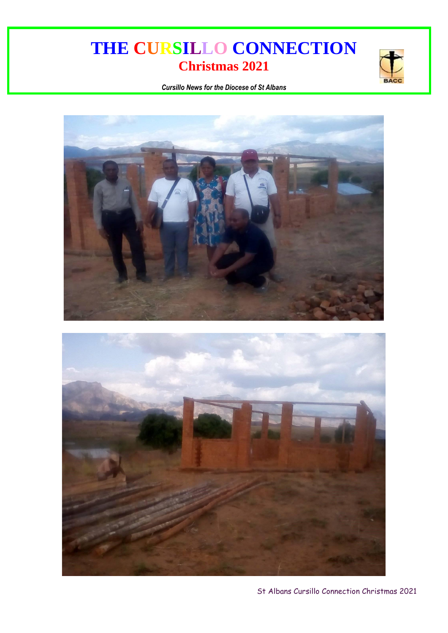

*Cursillo News for the Diocese of St Albans*



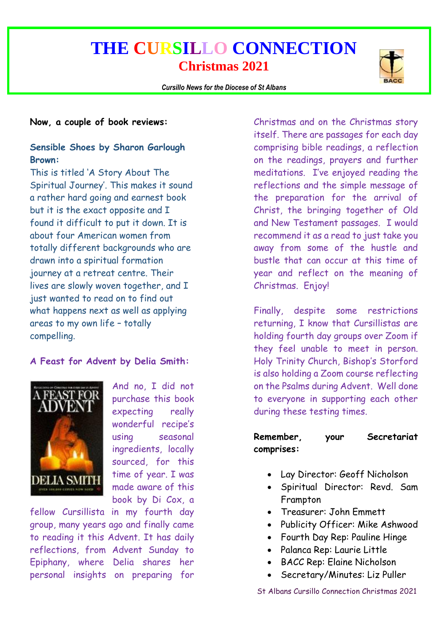

#### **Now, a couple of book reviews:**

#### **Sensible Shoes by Sharon Garlough Brown:**

This is titled 'A Story About The Spiritual Journey'. This makes it sound a rather hard going and earnest book but it is the exact opposite and I found it difficult to put it down. It is about four American women from totally different backgrounds who are drawn into a spiritual formation journey at a retreat centre. Their lives are slowly woven together, and I just wanted to read on to find out what happens next as well as applying areas to my own life – totally compelling.

#### **A Feast for Advent by Delia Smith:**



And no, I did not purchase this book expecting really wonderful recipe's using seasonal ingredients, locally sourced, for this time of year. I was made aware of this book by Di Cox, a

fellow Cursillista in my fourth day group, many years ago and finally came to reading it this Advent. It has daily reflections, from Advent Sunday to Epiphany, where Delia shares her personal insights on preparing for

Christmas and on the Christmas story itself. There are passages for each day comprising bible readings, a reflection on the readings, prayers and further meditations. I've enjoyed reading the reflections and the simple message of the preparation for the arrival of Christ, the bringing together of Old and New Testament passages. I would recommend it as a read to just take you away from some of the hustle and bustle that can occur at this time of year and reflect on the meaning of Christmas. Enjoy!

Finally, despite some restrictions returning, I know that Cursillistas are holding fourth day groups over Zoom if they feel unable to meet in person. Holy Trinity Church, Bishop's Storford is also holding a Zoom course reflecting on the Psalms during Advent. Well done to everyone in supporting each other during these testing times.

#### **Remember, your Secretariat comprises:**

- Lay Director: Geoff Nicholson
- Spiritual Director: Revd. Sam Frampton
- Treasurer: John Emmett
- Publicity Officer: Mike Ashwood
- Fourth Day Rep: Pauline Hinge
- Palanca Rep: Laurie Little
- BACC Rep: Elaine Nicholson
- Secretary/Minutes: Liz Puller